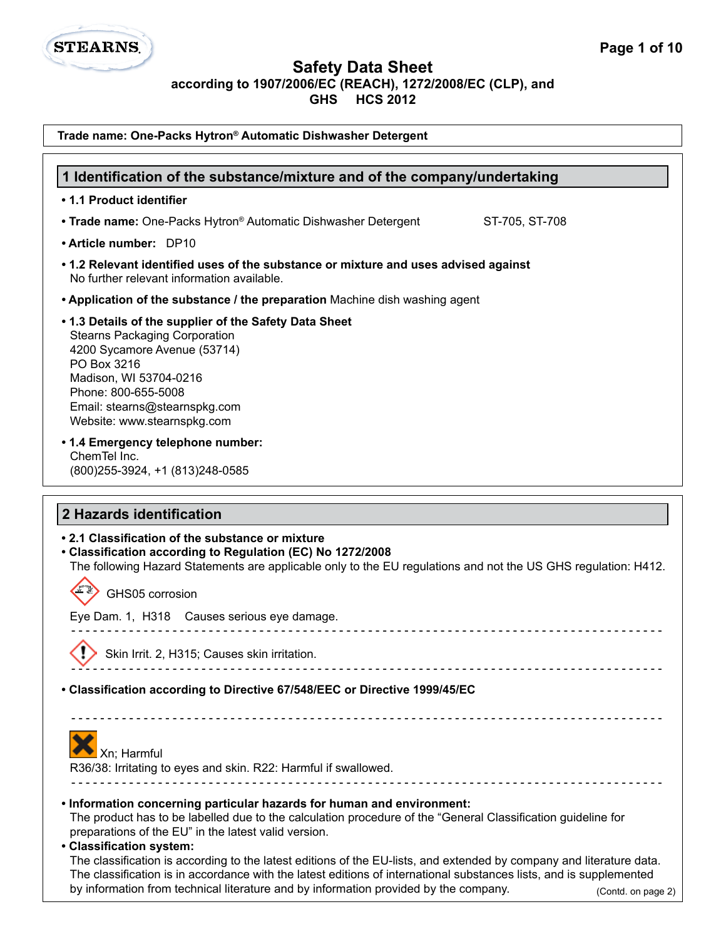

**GHS HCS 2012**

| Trade name: One-Packs Hytron® Automatic Dishwasher Detergent                                                                                                                                                                                                                                                                                              |
|-----------------------------------------------------------------------------------------------------------------------------------------------------------------------------------------------------------------------------------------------------------------------------------------------------------------------------------------------------------|
| 1 Identification of the substance/mixture and of the company/undertaking                                                                                                                                                                                                                                                                                  |
| • 1.1 Product identifier                                                                                                                                                                                                                                                                                                                                  |
| • Trade name: One-Packs Hytron® Automatic Dishwasher Detergent<br>ST-705, ST-708                                                                                                                                                                                                                                                                          |
| • Article number: DP10                                                                                                                                                                                                                                                                                                                                    |
| • 1.2 Relevant identified uses of the substance or mixture and uses advised against<br>No further relevant information available.                                                                                                                                                                                                                         |
| • Application of the substance / the preparation Machine dish washing agent                                                                                                                                                                                                                                                                               |
| • 1.3 Details of the supplier of the Safety Data Sheet<br><b>Stearns Packaging Corporation</b><br>4200 Sycamore Avenue (53714)<br>PO Box 3216<br>Madison, WI 53704-0216<br>Phone: 800-655-5008<br>Email: stearns@stearnspkg.com<br>Website: www.stearnspkg.com                                                                                            |
| • 1.4 Emergency telephone number:<br>ChemTel Inc.<br>(800) 255-3924, +1 (813) 248-0585                                                                                                                                                                                                                                                                    |
| 2 Hazards identification                                                                                                                                                                                                                                                                                                                                  |
| • 2.1 Classification of the substance or mixture<br>• Classification according to Regulation (EC) No 1272/2008<br>The following Hazard Statements are applicable only to the EU regulations and not the US GHS regulation: H412.                                                                                                                          |
| GHS05 corrosion                                                                                                                                                                                                                                                                                                                                           |
| Eye Dam. 1, H318 Causes serious eye damage.                                                                                                                                                                                                                                                                                                               |
| ⌒<br>Skin Irrit. 2, H315; Causes skin irritation.                                                                                                                                                                                                                                                                                                         |
| • Classification according to Directive 67/548/EEC or Directive 1999/45/EC                                                                                                                                                                                                                                                                                |
| Xn; Harmful<br>R36/38: Irritating to eyes and skin. R22: Harmful if swallowed.<br><u> - - - - - - - - - - - - - - - -</u>                                                                                                                                                                                                                                 |
| . Information concerning particular hazards for human and environment:<br>The product has to be labelled due to the calculation procedure of the "General Classification guideline for<br>preparations of the EU" in the latest valid version.<br>• Classification system:                                                                                |
| The classification is according to the latest editions of the EU-lists, and extended by company and literature data.<br>The classification is in accordance with the latest editions of international substances lists, and is supplemented<br>by information from technical literature and by information provided by the company.<br>(Contd. on page 2) |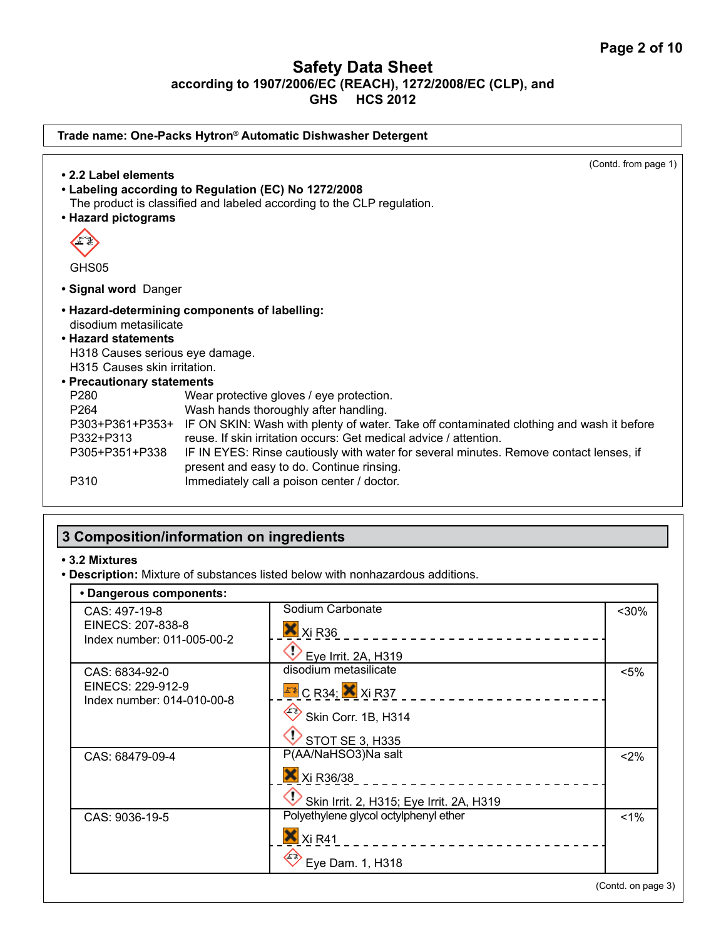| Trade name: One-Packs Hytron® Automatic Dishwasher Detergent |                                                                                                                                                                               |
|--------------------------------------------------------------|-------------------------------------------------------------------------------------------------------------------------------------------------------------------------------|
|                                                              | (Contd. from page 1)                                                                                                                                                          |
| • 2.2 Label elements                                         |                                                                                                                                                                               |
|                                                              | • Labeling according to Regulation (EC) No 1272/2008                                                                                                                          |
|                                                              | The product is classified and labeled according to the CLP regulation.                                                                                                        |
| • Hazard pictograms                                          |                                                                                                                                                                               |
| GHS05                                                        |                                                                                                                                                                               |
| · Signal word Danger                                         |                                                                                                                                                                               |
|                                                              | • Hazard-determining components of labelling:                                                                                                                                 |
| disodium metasilicate                                        |                                                                                                                                                                               |
| • Hazard statements                                          |                                                                                                                                                                               |
| H318 Causes serious eye damage.                              |                                                                                                                                                                               |
| H315 Causes skin irritation.                                 |                                                                                                                                                                               |
| • Precautionary statements                                   |                                                                                                                                                                               |
| P <sub>280</sub>                                             | Wear protective gloves / eye protection.                                                                                                                                      |
| P <sub>264</sub>                                             | Wash hands thoroughly after handling.                                                                                                                                         |
| P332+P313                                                    | P303+P361+P353+ IF ON SKIN: Wash with plenty of water. Take off contaminated clothing and wash it before<br>reuse. If skin irritation occurs: Get medical advice / attention. |
|                                                              |                                                                                                                                                                               |
| P305+P351+P338                                               | IF IN EYES: Rinse cautiously with water for several minutes. Remove contact lenses, if                                                                                        |
| P310                                                         | present and easy to do. Continue rinsing.                                                                                                                                     |
|                                                              | Immediately call a poison center / doctor.                                                                                                                                    |
|                                                              |                                                                                                                                                                               |

# **3 Composition/information on ingredients**

### **• 3.2 Mixtures**

**• Description:** Mixture of substances listed below with nonhazardous additions.

| CAS: 497-19-8                                   | Sodium Carbonate                         | $30%$   |
|-------------------------------------------------|------------------------------------------|---------|
| EINECS: 207-838-8                               | X Xi R36                                 |         |
| Index number: 011-005-00-2                      | Eye Irrit. 2A, H319                      |         |
| CAS: 6834-92-0                                  | disodium metasilicate                    | $< 5\%$ |
| EINECS: 229-912-9<br>Index number: 014-010-00-8 | $E$ <sup>2</sup> C R34; $X$ Xi R37       |         |
|                                                 | $\leftrightarrow$ Skin Corr. 1B, H314    |         |
|                                                 | $\vee$ STOT SE 3, H335                   |         |
| CAS: 68479-09-4                                 | P(AA/NaHSO3)Na salt                      | <2%     |
|                                                 | X Xi R36/38                              |         |
|                                                 | Skin Irrit. 2, H315; Eye Irrit. 2A, H319 |         |
| CAS: 9036-19-5                                  | Polyethylene glycol octylphenyl ether    | $1\%$   |
|                                                 | $X$ Xi R41<br>-----------                |         |
|                                                 | $\leftrightarrow$ Eye Dam. 1, H318       |         |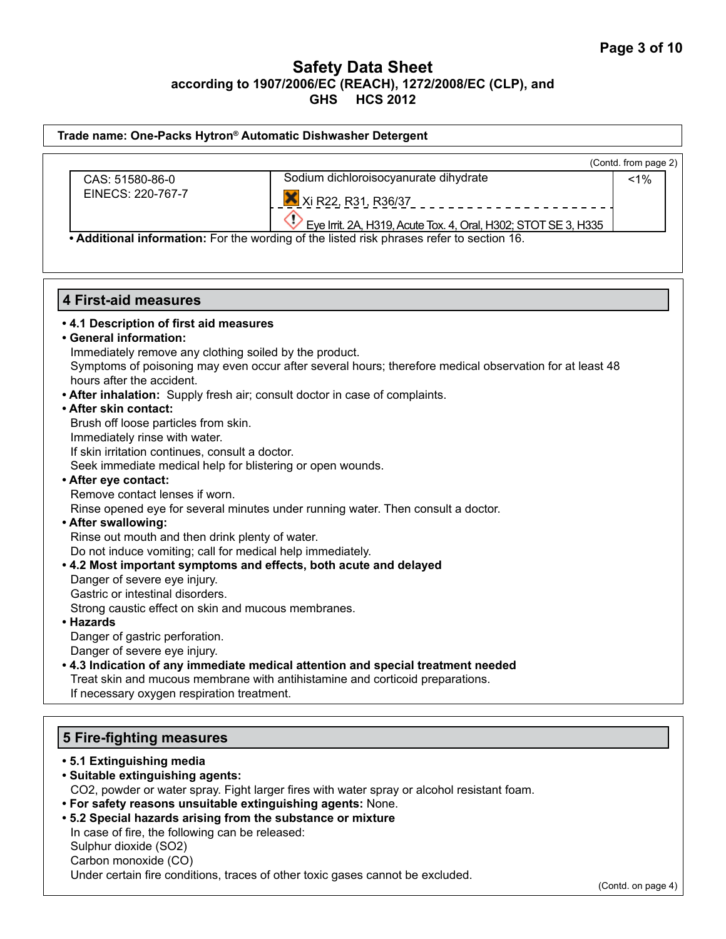|  | Trade name: One-Packs Hytron® Automatic Dishwasher Detergent |
|--|--------------------------------------------------------------|
|--|--------------------------------------------------------------|

|                   |                                                                | (Contd. from page 2) |  |
|-------------------|----------------------------------------------------------------|----------------------|--|
| CAS: 51580-86-0   | Sodium dichloroisocyanurate dihydrate                          | <1%                  |  |
| EINECS: 220-767-7 | ■ Xi R22, R31, R36/37                                          |                      |  |
|                   | Eye Irrit. 2A, H319, Acute Tox. 4, Oral, H302; STOT SE 3, H335 |                      |  |

**• Additional information:** For the wording of the listed risk phrases refer to section 16.

### **4 First-aid measures**

### **• 4.1 Description of first aid measures**

**• General information:** 

Immediately remove any clothing soiled by the product.

Symptoms of poisoning may even occur after several hours; therefore medical observation for at least 48 hours after the accident.

- **After inhalation:** Supply fresh air; consult doctor in case of complaints.
- **After skin contact:**

Brush off loose particles from skin.

Immediately rinse with water.

If skin irritation continues, consult a doctor.

Seek immediate medical help for blistering or open wounds.

### **• After eye contact:**

Remove contact lenses if worn.

Rinse opened eye for several minutes under running water. Then consult a doctor.

#### **• After swallowing:**

Rinse out mouth and then drink plenty of water. Do not induce vomiting; call for medical help immediately.

**• 4.2 Most important symptoms and effects, both acute and delayed** 

Danger of severe eye injury.

Gastric or intestinal disorders.

Strong caustic effect on skin and mucous membranes.

#### **• Hazards**

Danger of gastric perforation.

Danger of severe eye injury.

**• 4.3 Indication of any immediate medical attention and special treatment needed** Treat skin and mucous membrane with antihistamine and corticoid preparations. If necessary oxygen respiration treatment.

# **5 Fire-fighting measures**

- **5.1 Extinguishing media • Suitable extinguishing agents:**  CO2, powder or water spray. Fight larger fires with water spray or alcohol resistant foam. **• For safety reasons unsuitable extinguishing agents:** None.
- 
- **5.2 Special hazards arising from the substance or mixture**
- In case of fire, the following can be released: Sulphur dioxide (SO2)

Carbon monoxide (CO)

Under certain fire conditions, traces of other toxic gases cannot be excluded.

(Contd. on page 4)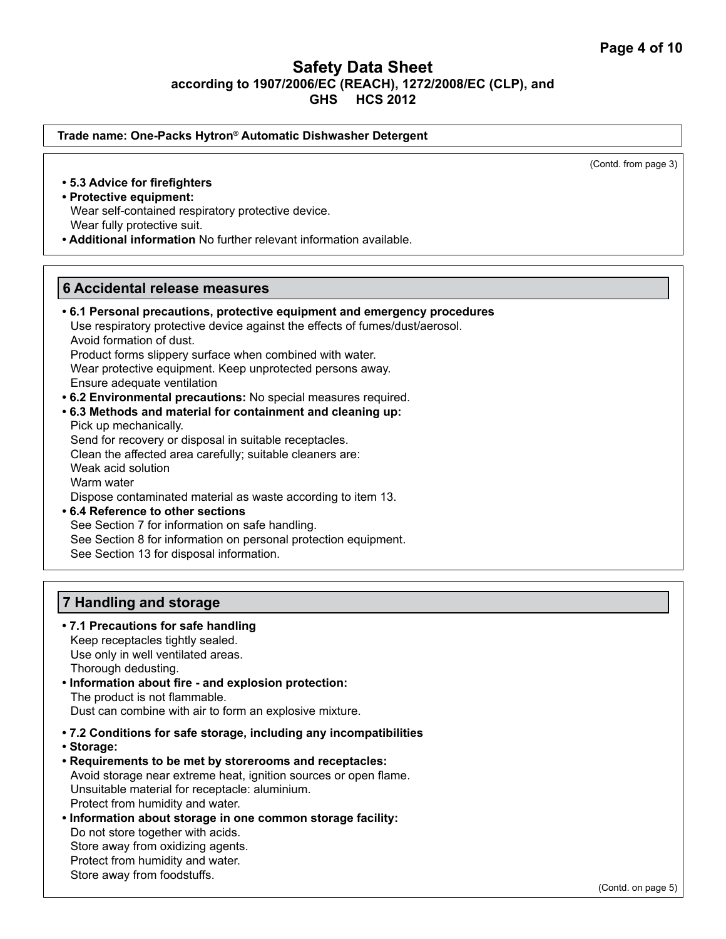(Contd. from page 3)

# **Safety Data Sheet according to 1907/2006/EC (REACH), 1272/2008/EC (CLP), and GHS HCS 2012**

**7 Handling and storage • 7.1 Precautions for safe handling** Keep receptacles tightly sealed. Use only in well ventilated areas. Thorough dedusting. **6 Accidental release measures • 6.1 Personal precautions, protective equipment and emergency procedures** Use respiratory protective device against the effects of fumes/dust/aerosol. Avoid formation of dust. Product forms slippery surface when combined with water. Wear protective equipment. Keep unprotected persons away. Ensure adequate ventilation **• 6.2 Environmental precautions:** No special measures required. **• 6.3 Methods and material for containment and cleaning up:** Pick up mechanically. Send for recovery or disposal in suitable receptacles. Clean the affected area carefully; suitable cleaners are: Weak acid solution Warm water Dispose contaminated material as waste according to item 13. **• 6.4 Reference to other sections** See Section 7 for information on safe handling. See Section 8 for information on personal protection equipment. See Section 13 for disposal information. **• 5.3 Advice for firefighters • Protective equipment:** Wear self-contained respiratory protective device. Wear fully protective suit. **• Additional information** No further relevant information available. **Trade name: One-Packs Hytron® Automatic Dishwasher Detergent** 

**• Information about fire - and explosion protection:**  The product is not flammable. Dust can combine with air to form an explosive mixture.

- **7.2 Conditions for safe storage, including any incompatibilities**
- **Storage:**
- **Requirements to be met by storerooms and receptacles:** Avoid storage near extreme heat, ignition sources or open flame. Unsuitable material for receptacle: aluminium. Protect from humidity and water.
- **Information about storage in one common storage facility:** Do not store together with acids. Store away from oxidizing agents. Protect from humidity and water. Store away from foodstuffs.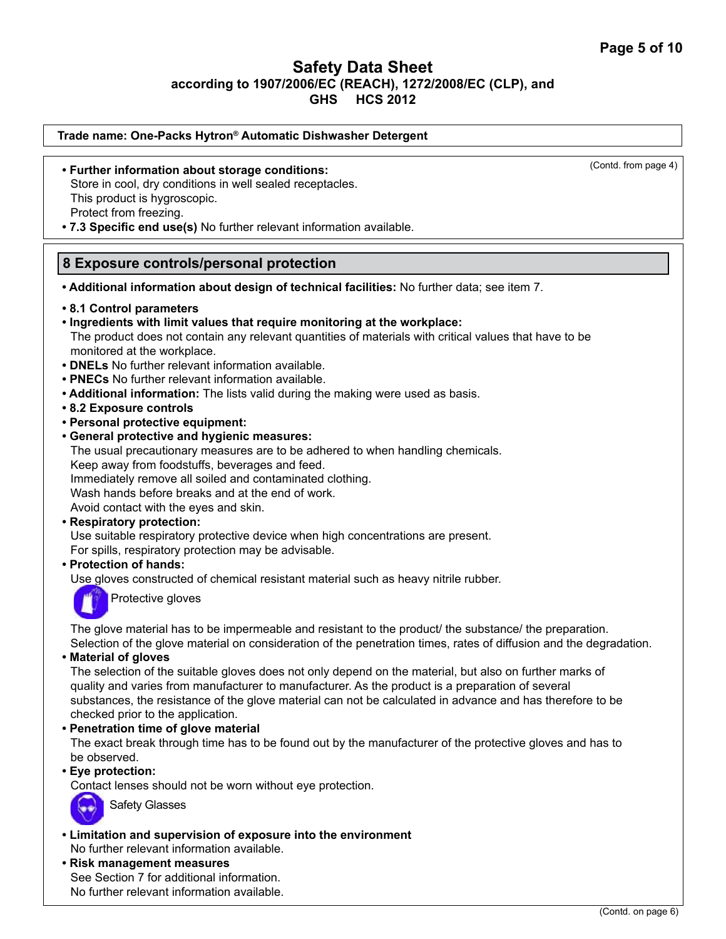| Trade name: One-Packs Hytron® Automatic Dishwasher Detergent                                                                                                                                                                                                                                                                                                                                                                                                                                                                                                                                                                                                                                                                                                                                                                                                                                                                                                                                                                                                                                                                                                            |                      |
|-------------------------------------------------------------------------------------------------------------------------------------------------------------------------------------------------------------------------------------------------------------------------------------------------------------------------------------------------------------------------------------------------------------------------------------------------------------------------------------------------------------------------------------------------------------------------------------------------------------------------------------------------------------------------------------------------------------------------------------------------------------------------------------------------------------------------------------------------------------------------------------------------------------------------------------------------------------------------------------------------------------------------------------------------------------------------------------------------------------------------------------------------------------------------|----------------------|
| • Further information about storage conditions:<br>Store in cool, dry conditions in well sealed receptacles.<br>This product is hygroscopic.<br>Protect from freezing.<br>. 7.3 Specific end use(s) No further relevant information available.                                                                                                                                                                                                                                                                                                                                                                                                                                                                                                                                                                                                                                                                                                                                                                                                                                                                                                                          | (Contd. from page 4) |
| 8 Exposure controls/personal protection                                                                                                                                                                                                                                                                                                                                                                                                                                                                                                                                                                                                                                                                                                                                                                                                                                                                                                                                                                                                                                                                                                                                 |                      |
| . Additional information about design of technical facilities: No further data; see item 7.                                                                                                                                                                                                                                                                                                                                                                                                                                                                                                                                                                                                                                                                                                                                                                                                                                                                                                                                                                                                                                                                             |                      |
| • 8.1 Control parameters<br>. Ingredients with limit values that require monitoring at the workplace:<br>The product does not contain any relevant quantities of materials with critical values that have to be<br>monitored at the workplace.<br>• DNELs No further relevant information available.<br>• PNECs No further relevant information available.<br>• Additional information: The lists valid during the making were used as basis.<br>• 8.2 Exposure controls<br>• Personal protective equipment:<br>• General protective and hygienic measures:<br>The usual precautionary measures are to be adhered to when handling chemicals.<br>Keep away from foodstuffs, beverages and feed.<br>Immediately remove all soiled and contaminated clothing.<br>Wash hands before breaks and at the end of work.<br>Avoid contact with the eyes and skin.<br>• Respiratory protection:<br>Use suitable respiratory protective device when high concentrations are present.<br>For spills, respiratory protection may be advisable.<br>• Protection of hands:<br>Use gloves constructed of chemical resistant material such as heavy nitrile rubber.<br>Protective gloves |                      |

The glove material has to be impermeable and resistant to the product/ the substance/ the preparation. Selection of the glove material on consideration of the penetration times, rates of diffusion and the degradation.

**• Material of gloves**

The selection of the suitable gloves does not only depend on the material, but also on further marks of quality and varies from manufacturer to manufacturer. As the product is a preparation of several substances, the resistance of the glove material can not be calculated in advance and has therefore to be checked prior to the application.

**• Penetration time of glove material**

The exact break through time has to be found out by the manufacturer of the protective gloves and has to be observed.

**• Eye protection:** 

Contact lenses should not be worn without eye protection.



Safety Glasses

**• Limitation and supervision of exposure into the environment** No further relevant information available.

**• Risk management measures** See Section 7 for additional information. No further relevant information available.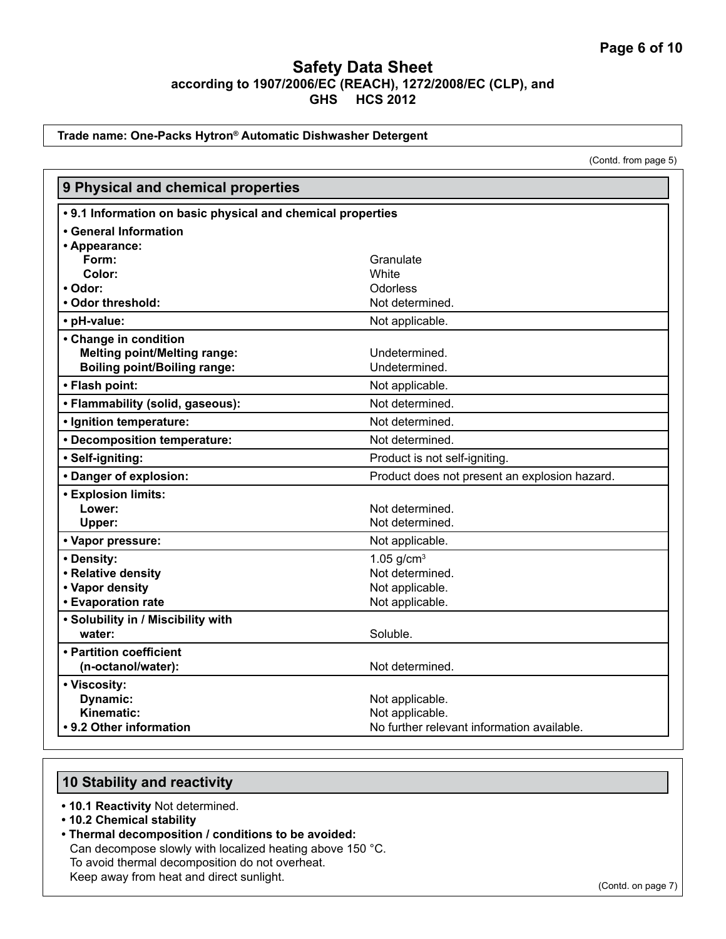#### **Trade name: One-Packs Hytron® Automatic Dishwasher Detergent**

(Contd. from page 5)

| 9 Physical and chemical properties                          |                                               |  |
|-------------------------------------------------------------|-----------------------------------------------|--|
| • 9.1 Information on basic physical and chemical properties |                                               |  |
| • General Information                                       |                                               |  |
| • Appearance:                                               |                                               |  |
| Form:                                                       | Granulate                                     |  |
| Color:                                                      | White                                         |  |
| • Odor:                                                     | Odorless                                      |  |
| • Odor threshold:                                           | Not determined.                               |  |
| • pH-value:                                                 | Not applicable.                               |  |
| • Change in condition                                       |                                               |  |
| <b>Melting point/Melting range:</b>                         | Undetermined.                                 |  |
| <b>Boiling point/Boiling range:</b>                         | Undetermined.                                 |  |
| • Flash point:                                              | Not applicable.                               |  |
| • Flammability (solid, gaseous):                            | Not determined.                               |  |
| · Ignition temperature:                                     | Not determined.                               |  |
| • Decomposition temperature:                                | Not determined.                               |  |
| · Self-igniting:                                            | Product is not self-igniting.                 |  |
| • Danger of explosion:                                      | Product does not present an explosion hazard. |  |
| <b>• Explosion limits:</b>                                  |                                               |  |
| Lower:                                                      | Not determined.                               |  |
| Upper:                                                      | Not determined.                               |  |
| • Vapor pressure:                                           | Not applicable.                               |  |
| • Density:                                                  | 1.05 $g/cm^{3}$                               |  |
| • Relative density                                          | Not determined.                               |  |
| • Vapor density                                             | Not applicable.                               |  |
| • Evaporation rate                                          | Not applicable.                               |  |
| • Solubility in / Miscibility with                          |                                               |  |
| water:                                                      | Soluble.                                      |  |
| • Partition coefficient                                     |                                               |  |
| (n-octanol/water):                                          | Not determined.                               |  |
| • Viscosity:                                                |                                               |  |
| Dynamic:                                                    | Not applicable.                               |  |
| Kinematic:                                                  | Not applicable.                               |  |
| • 9.2 Other information                                     | No further relevant information available.    |  |

# **10 Stability and reactivity**

- **10.1 Reactivity** Not determined.
- **10.2 Chemical stability**
- **Thermal decomposition / conditions to be avoided:** Can decompose slowly with localized heating above 150 °C. To avoid thermal decomposition do not overheat. Keep away from heat and direct sunlight.

(Contd. on page 7)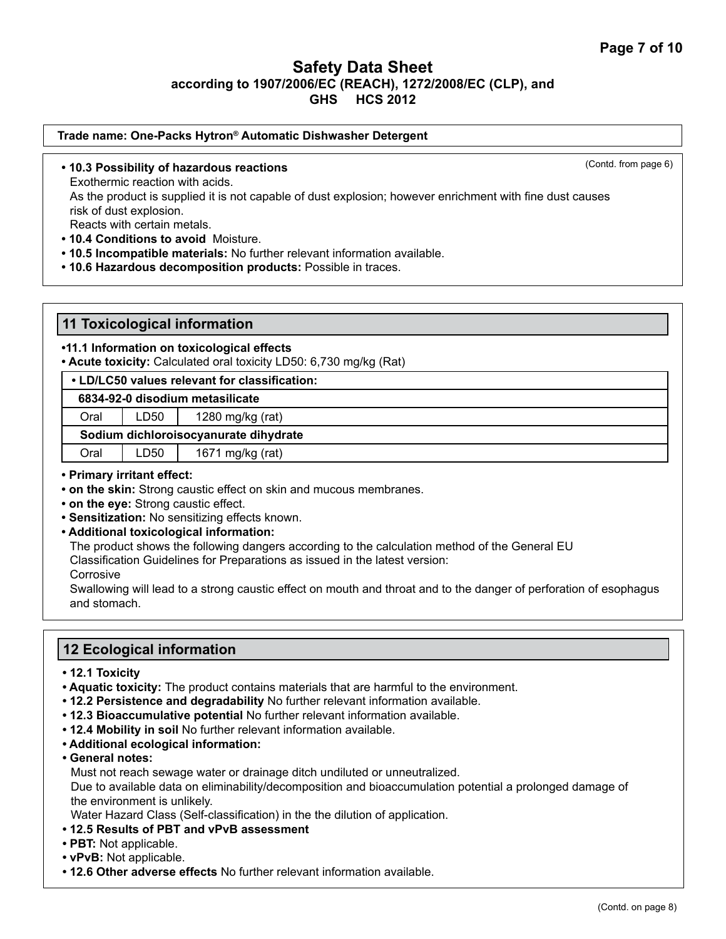### **Trade name: One-Packs Hytron® Automatic Dishwasher Detergent**

**• 10.3 Possibility of hazardous reactions**

(Contd. from page 6)

Exothermic reaction with acids.

As the product is supplied it is not capable of dust explosion; however enrichment with fine dust causes risk of dust explosion.

Reacts with certain metals.

- **10.4 Conditions to avoid** Moisture.
- **10.5 Incompatible materials:** No further relevant information available.
- **10.6 Hazardous decomposition products:** Possible in traces.

### **11 Toxicological information**

### **•11.1 Information on toxicological effects**

**• Acute toxicity:** Calculated oral toxicity LD50: 6,730 mg/kg (Rat)

|  | • LD/LC50 values relevant for classification: |
|--|-----------------------------------------------|
|  |                                               |

 **6834-92-0 disodium metasilicate**

Oral | LD50 | 1280 mg/kg (rat)

#### **Sodium dichloroisocyanurate dihydrate**

Oral | LD50 | 1671 mg/kg (rat)

#### **• Primary irritant effect:**

- **on the skin:** Strong caustic effect on skin and mucous membranes.
- **on the eye:** Strong caustic effect.
- **Sensitization:** No sensitizing effects known.
- **Additional toxicological information:**

The product shows the following dangers according to the calculation method of the General EU

Classification Guidelines for Preparations as issued in the latest version:

Corrosive

Swallowing will lead to a strong caustic effect on mouth and throat and to the danger of perforation of esophagus and stomach.

# **12 Ecological information**

- **12.1 Toxicity**
- **Aquatic toxicity:** The product contains materials that are harmful to the environment.
- **12.2 Persistence and degradability** No further relevant information available.
- **12.3 Bioaccumulative potential** No further relevant information available.
- **12.4 Mobility in soil** No further relevant information available.
- **Additional ecological information:**
- **General notes:**

Must not reach sewage water or drainage ditch undiluted or unneutralized.

Due to available data on eliminability/decomposition and bioaccumulation potential a prolonged damage of the environment is unlikely.

Water Hazard Class (Self-classification) in the the dilution of application.

- **12.5 Results of PBT and vPvB assessment**
- **PBT:** Not applicable.
- **vPvB:** Not applicable.
- **12.6 Other adverse effects** No further relevant information available.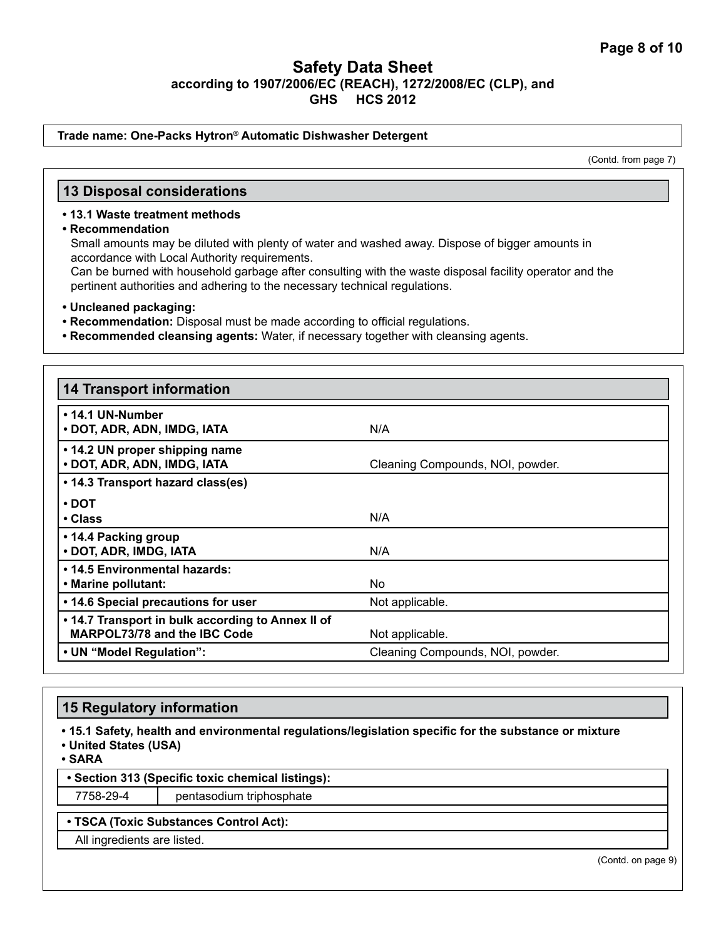#### **Trade name: One-Packs Hytron® Automatic Dishwasher Detergent**

(Contd. from page 7)

### **13 Disposal considerations**

### **• 13.1 Waste treatment methods**

**• Recommendation**

Small amounts may be diluted with plenty of water and washed away. Dispose of bigger amounts in accordance with Local Authority requirements.

Can be burned with household garbage after consulting with the waste disposal facility operator and the pertinent authorities and adhering to the necessary technical regulations.

- **Uncleaned packaging:**
- **Recommendation:** Disposal must be made according to official regulations.
- **Recommended cleansing agents:** Water, if necessary together with cleansing agents.

| <b>14 Transport information</b>                                                          |                                  |
|------------------------------------------------------------------------------------------|----------------------------------|
| • 14.1 UN-Number<br>• DOT, ADR, ADN, IMDG, IATA                                          | N/A                              |
| • 14.2 UN proper shipping name<br>• DOT, ADR, ADN, IMDG, IATA                            | Cleaning Compounds, NOI, powder. |
| • 14.3 Transport hazard class(es)                                                        |                                  |
| $\cdot$ DOT                                                                              |                                  |
| $\cdot$ Class                                                                            | N/A                              |
| • 14.4 Packing group<br>• DOT, ADR, IMDG, IATA                                           | N/A                              |
| • 14.5 Environmental hazards:                                                            |                                  |
| • Marine pollutant:                                                                      | No.                              |
| • 14.6 Special precautions for user                                                      | Not applicable.                  |
| . 14.7 Transport in bulk according to Annex II of<br><b>MARPOL73/78 and the IBC Code</b> | Not applicable.                  |
| • UN "Model Regulation":                                                                 | Cleaning Compounds, NOI, powder. |

### **15 Regulatory information**

**• 15.1 Safety, health and environmental regulations/legislation specific for the substance or mixture**

**• United States (USA)**

**• SARA**

**• Section 313 (Specific toxic chemical listings):**

7758-29-4 pentasodium triphosphate

### **• TSCA (Toxic Substances Control Act):**

All ingredients are listed.

(Contd. on page 9)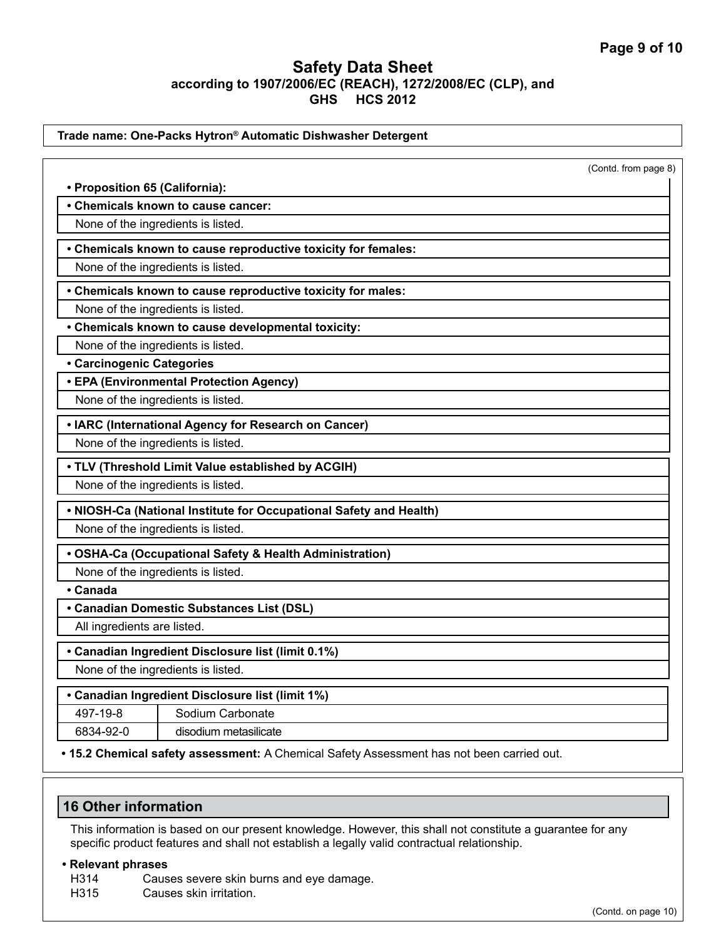|                                | Trade name: One-Packs Hytron® Automatic Dishwasher Detergent                                        |                      |
|--------------------------------|-----------------------------------------------------------------------------------------------------|----------------------|
|                                |                                                                                                     | (Contd. from page 8) |
| • Proposition 65 (California): |                                                                                                     |                      |
|                                | • Chemicals known to cause cancer:                                                                  |                      |
|                                | None of the ingredients is listed.                                                                  |                      |
|                                |                                                                                                     |                      |
|                                | • Chemicals known to cause reproductive toxicity for females:<br>None of the ingredients is listed. |                      |
|                                |                                                                                                     |                      |
|                                | • Chemicals known to cause reproductive toxicity for males:                                         |                      |
|                                | None of the ingredients is listed.                                                                  |                      |
|                                | • Chemicals known to cause developmental toxicity:                                                  |                      |
|                                | None of the ingredients is listed.                                                                  |                      |
| • Carcinogenic Categories      | • EPA (Environmental Protection Agency)                                                             |                      |
|                                | None of the ingredients is listed.                                                                  |                      |
|                                |                                                                                                     |                      |
|                                | • IARC (International Agency for Research on Cancer)                                                |                      |
|                                | None of the ingredients is listed.                                                                  |                      |
|                                | • TLV (Threshold Limit Value established by ACGIH)                                                  |                      |
|                                | None of the ingredients is listed.                                                                  |                      |
|                                | . NIOSH-Ca (National Institute for Occupational Safety and Health)                                  |                      |
|                                | None of the ingredients is listed.                                                                  |                      |
|                                | • OSHA-Ca (Occupational Safety & Health Administration)                                             |                      |
|                                | None of the ingredients is listed.                                                                  |                      |
| • Canada                       |                                                                                                     |                      |
|                                | • Canadian Domestic Substances List (DSL)                                                           |                      |
| All ingredients are listed.    |                                                                                                     |                      |
|                                | • Canadian Ingredient Disclosure list (limit 0.1%)                                                  |                      |
|                                | None of the ingredients is listed.                                                                  |                      |
|                                | • Canadian Ingredient Disclosure list (limit 1%)                                                    |                      |
| 497-19-8                       | Sodium Carbonate                                                                                    |                      |
| 6834-92-0                      | disodium metasilicate                                                                               |                      |
|                                |                                                                                                     |                      |

**• 15.2 Chemical safety assessment:** A Chemical Safety Assessment has not been carried out.

# **16 Other information**

This information is based on our present knowledge. However, this shall not constitute a guarantee for any specific product features and shall not establish a legally valid contractual relationship.

### **• Relevant phrases**

 $\overline{\phantom{a}}$ 

H314 Causes severe skin burns and eye damage.<br>H315 Causes skin irritation.

Causes skin irritation.